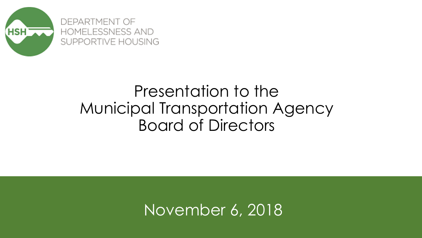

# Presentation to the Municipal Transportation Agency Board of Directors

November 6, 2018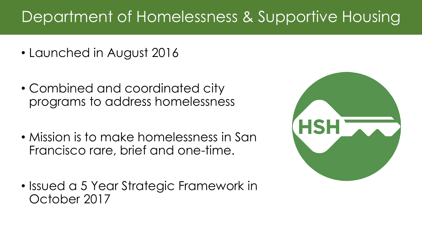# Department of Homelessness & Supportive Housing

- Launched in August 2016
- Combined and coordinated city programs to address homelessness
- Mission is to make homelessness in San Francisco rare, brief and one-time.
- Issued a 5 Year Strategic Framework in October 2017

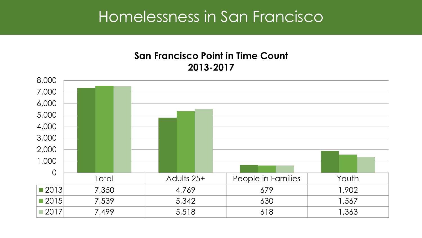## Homelessness in San Francisco

### **San Francisco Point in Time Count** 2013-2017

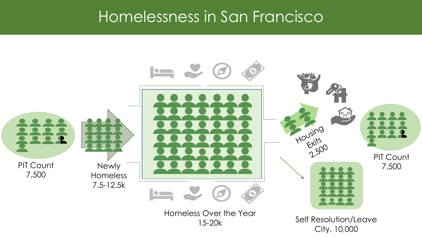## Homelessness in San Francisco

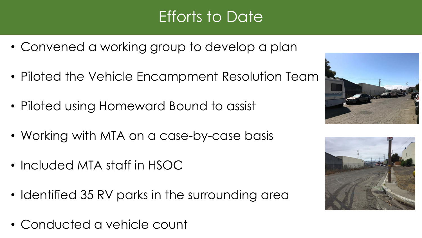# Efforts to Date

- Convened a working group to develop a plan
- Piloted the Vehicle Encampment Resolution Team
- Piloted using Homeward Bound to assist
- Working with MTA on a case-by-case basis
- Included MTA staff in HSOC
- Identified 35 RV parks in the surrounding area
- Conducted a vehicle count



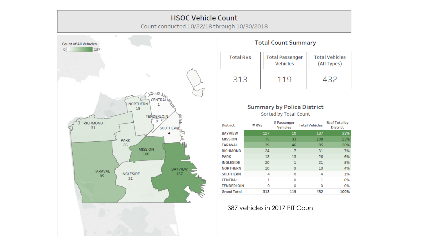#### **HSOC Vehicle Count**

Count conducted 10/22/18 through 10/30/2018



**Total Count Summary** 

| <b>Total RVs</b> | <b>Total Passenger</b><br><b>Vehicles</b> | <b>Total Vehicles</b><br>(All Types) |
|------------------|-------------------------------------------|--------------------------------------|
| 313              |                                           |                                      |

### **Summary by Police District**

Sorted by Total Count

| <b>District</b>    | #RVs | # Passenger<br><b>Vehicles</b> | <b>Total Vehicles</b> | % of Total by<br><b>District</b> |
|--------------------|------|--------------------------------|-----------------------|----------------------------------|
| <b>BAYVIEW</b>     | 127  | 10                             | 137                   | 32%                              |
| <b>MISSION</b>     | 75   | 33                             | 108                   | 25%                              |
| <b>TARAVAL</b>     | 39   | 46                             | 85                    | 20%                              |
| <b>RICHMOND</b>    | 24   | 7                              | 31                    | 7%                               |
| <b>PARK</b>        | 13   | 13                             | 26                    | 6%                               |
| <b>INGLESIDE</b>   | 20   | 1                              | 21                    | 5%                               |
| <b>NORTHERN</b>    | 10   | 9                              | 19                    | 4%                               |
| <b>SOUTHERN</b>    | 4    | $\Omega$                       | 4                     | 1%                               |
| <b>CENTRAL</b>     | 1    | 0                              | 1                     | 0%                               |
| <b>TENDERLOIN</b>  | 0    | 0                              | 0                     | 0%                               |
| <b>Grand Total</b> | 313  | 119                            | 432                   | 100%                             |

387 vehicles in 2017 PIT Count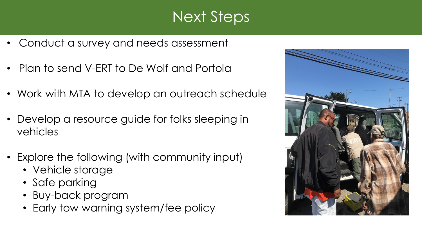# Next Steps

- Conduct a survey and needs assessment
- Plan to send V-ERT to De Wolf and Portola
- Work with MTA to develop an outreach schedule
- Develop a resource guide for folks sleeping in vehicles
- Explore the following (with community input)
	- Vehicle storage
	- Safe parking
	- Buy-back program
	- Early tow warning system/fee policy